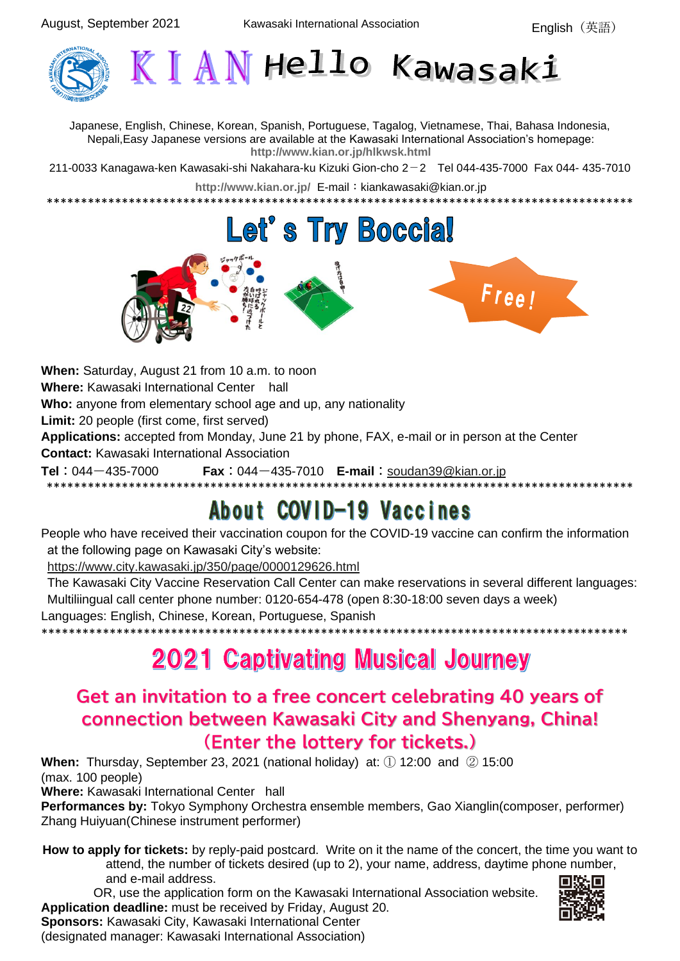

Japanese, English, Chinese, Korean, Spanish, Portuguese, Tagalog, Vietnamese, Thai, Bahasa Indonesia, Nepali,Easy Japanese versions are available at the Kawasaki International Association's homepage: **<http://www.kian.or.jp/hlkwsk.html>**

211-0033 Kanagawa-ken Kawasaki-shi Nakahara-ku Kizuki Gion-cho 2-2 Tel 044-435-7000 Fax 044- 435-7010

<http://www.kian.or.jp/> E-mail: kiankawasaki@kian.or.jp \*\*\*\*\*\*\*\*\*\*\*\*\*\*\*\*\*\*\*\*\*\*\*\*\*\*\*\*\*\*\*\*\*\*\*\*\*\*\*\*\*\*\*\*\*\*\*\*\*\*\*\*\*\*\*\*\*\*\*\*\*\*\*\*\*\*\*\*\*\*\*\*\*\*\*\*\*\*\*\*\*\*\*\*\*\*

# **Let's Try Boccial**



**When:** Saturday, August 21 from 10 a.m. to noon **Where:** Kawasaki International Center hall **Who:** anyone from elementary school age and up, any nationality **Limit:** 20 people (first come, first served) **Applications:** accepted from Monday, June 21 by phone, FAX, e-mail or in person at the Center **Contact:** Kawasaki International Association **Tel**: 044-435-7000 **Fax**: 044-435-7010 **E-mail**: [soudan39@kian.or.jp](mailto:soudan39@kian.or.jp) \*\*\*\*\*\*\*\*\*\*\*\*\*\*\*\*\*\*\*\*\*\*\*\*\*\*\*\*\*\*\*\*\*\*\*\*\*\*\*\*\*\*\*\*\*\*\*\*\*\*\*\*\*\*\*\*\*\*\*\*\*\*\*\*\*\*\*\*\*\*\*\*\*\*\*\*\*\*\*\*\*\*\*\*\*\*

## About COVID-19 Vaccines

People who have received their vaccination coupon for the COVID-19 vaccine can confirm the information at the following page on Kawasaki City's website:

<https://www.city.kawasaki.jp/350/page/0000129626.html>

The Kawasaki City Vaccine Reservation Call Center can make reservations in several different languages: Multiliingual call center phone number: 0120-654-478 (open 8:30-18:00 seven days a week) Languages: English, Chinese, Korean, Portuguese, Spanish

### \*\*\*\*\*\*\*\*\*\*\*\*\*\*\*\*\*\*\*\*\*\*\*\*\*\*\*\*\*\*\*\*\*\*\*\*\*\*\*\*\*\*\*\*\*\*\*\*\*\*\*\*\*\*\*\*\*\*\*\*\*\*\*\*\*\*\*\*\*\*\*\*\*\*\*\*\*\*\*\*\*\*\*\*\*\* **2021 Captivating Musical Journey**

### **Get an invitation to a free concert celebrating 40 years of connection between Kawasaki City and Shenyang, China! (Enter the lottery for tickets.)**

**When:** Thursday, September 23, 2021 (national holiday) at: ① 12:00 and ② 15:00 (max. 100 people)

**Where:** Kawasaki International Center hall

**Sponsors:** Kawasaki City, Kawasaki International Center (designated manager: Kawasaki International Association)

**Performances by:** Tokyo Symphony Orchestra ensemble members, Gao Xianglin(composer, performer) Zhang Huiyuan(Chinese instrument performer)

**How to apply for tickets:** by reply-paid postcard. Write on it the name of the concert, the time you want to attend, the number of tickets desired (up to 2), your name, address, daytime phone number, and e-mail address.

 OR, use the application form on the Kawasaki International Association website. **Application deadline:** must be received by Friday, August 20.